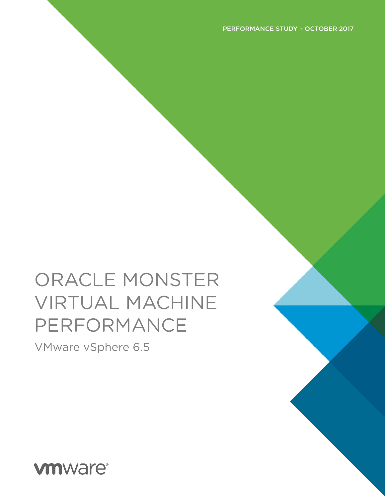# ORACLE MONSTER VIRTUAL MACHINE PERFORMANCE

VMware vSphere 6.5

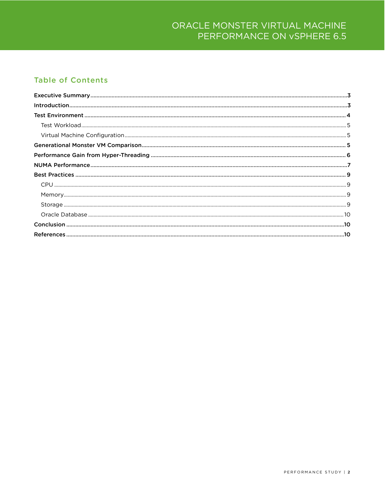### ORACLE MONSTER VIRTUAL MACHINE PERFORMANCE ON vSPHERE 6.5

#### **Table of Contents**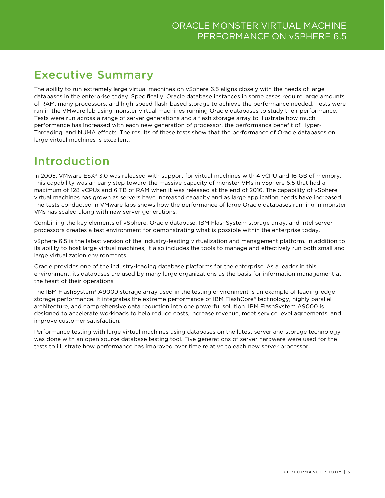# <span id="page-2-0"></span>Executive Summary

The ability to run extremely large virtual machines on vSphere 6.5 aligns closely with the needs of large databases in the enterprise today. Specifically, Oracle database instances in some cases require large amounts of RAM, many processors, and high-speed flash-based storage to achieve the performance needed. Tests were run in the VMware lab using monster virtual machines running Oracle databases to study their performance. Tests were run across a range of server generations and a flash storage array to illustrate how much performance has increased with each new generation of processor, the performance benefit of Hyper-Threading, and NUMA effects. The results of these tests show that the performance of Oracle databases on large virtual machines is excellent.

## <span id="page-2-1"></span>Introduction

In 2005, VMware ESX® 3.0 was released with support for virtual machines with 4 vCPU and 16 GB of memory. This capability was an early step toward the massive capacity of monster VMs in vSphere 6.5 that had a maximum of 128 vCPUs and 6 TB of RAM when it was released at the end of 2016. The capability of vSphere virtual machines has grown as servers have increased capacity and as large application needs have increased. The tests conducted in VMware labs shows how the performance of large Oracle databases running in monster VMs has scaled along with new server generations.

Combining the key elements of vSphere, Oracle database, IBM FlashSystem storage array, and Intel server processors creates a test environment for demonstrating what is possible within the enterprise today.

vSphere 6.5 is the latest version of the industry-leading virtualization and management platform. In addition to its ability to host large virtual machines, it also includes the tools to manage and effectively run both small and large virtualization environments.

Oracle provides one of the industry-leading database platforms for the enterprise. As a leader in this environment, its databases are used by many large organizations as the basis for information management at the heart of their operations.

The IBM FlashSystem® A9000 storage array used in the testing environment is an example of leading-edge storage performance. It integrates the extreme performance of IBM FlashCore® technology, highly parallel architecture, and comprehensive data reduction into one powerful solution. IBM FlashSystem A9000 is designed to accelerate workloads to help reduce costs, increase revenue, meet service level agreements, and improve customer satisfaction.

Performance testing with large virtual machines using databases on the latest server and storage technology was done with an open source database testing tool. Five generations of server hardware were used for the tests to illustrate how performance has improved over time relative to each new server processor.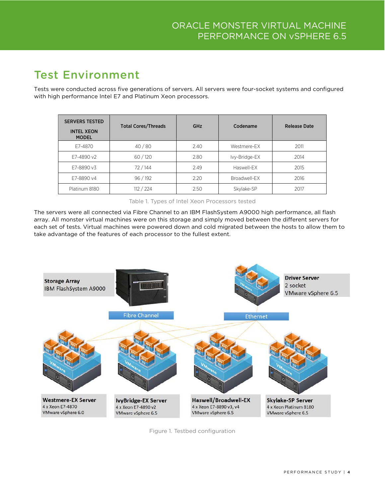# <span id="page-3-0"></span>Test Environment

Tests were conducted across five generations of servers. All servers were four-socket systems and configured with high performance Intel E7 and Platinum Xeon processors.

| <b>SERVERS TESTED</b><br><b>INTEL XEON</b><br><b>MODEL</b> | <b>Total Cores/Threads</b> | GHz  | Codename      | <b>Release Date</b> |
|------------------------------------------------------------|----------------------------|------|---------------|---------------------|
| F7-4870                                                    | 40/80                      | 2.40 | Westmere-FX   | 2011                |
| F7-4890 v2                                                 | 60/120                     | 2.80 | Ivy-Bridge-EX | 2014                |
| E7-8890 v3                                                 | 72/144                     | 2.49 | Haswell-EX    | 2015                |
| E7-8890 v4                                                 | 96/192                     | 2.20 | Broadwell-EX  | 2016                |
| Platinum 8180                                              | 112 / 224                  | 2.50 | Skylake-SP    | 2017                |

Table 1. Types of Intel Xeon Processors tested

The servers were all connected via Fibre Channel to an IBM FlashSystem A9000 high performance, all flash array. All monster virtual machines were on this storage and simply moved between the different servers for each set of tests. Virtual machines were powered down and cold migrated between the hosts to allow them to take advantage of the features of each processor to the fullest extent.



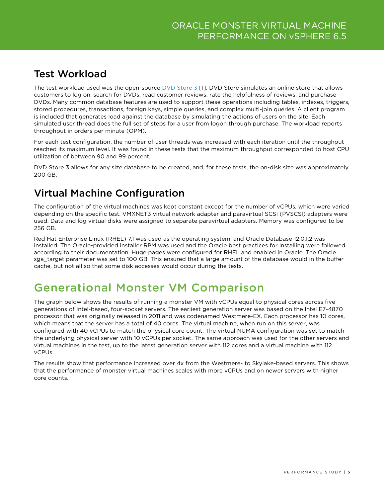## <span id="page-4-0"></span>Test Workload

The test workload used was the open-source [DVD Store 3](https://github.com/dvdstore/ds3) [\[1\]](#page-9-3). DVD Store simulates an online store that allows customers to log on, search for DVDs, read customer reviews, rate the helpfulness of reviews, and purchase DVDs. Many common database features are used to support these operations including tables, indexes, triggers, stored procedures, transactions, foreign keys, simple queries, and complex multi-join queries. A client program is included that generates load against the database by simulating the actions of users on the site. Each simulated user thread does the full set of steps for a user from logon through purchase. The workload reports throughput in orders per minute (OPM).

For each test configuration, the number of user threads was increased with each iteration until the throughput reached its maximum level. It was found in these tests that the maximum throughput corresponded to host CPU utilization of between 90 and 99 percent.

DVD Store 3 allows for any size database to be created, and, for these tests, the on-disk size was approximately 200 GB.

## <span id="page-4-1"></span>Virtual Machine Configuration

The configuration of the virtual machines was kept constant except for the number of vCPUs, which were varied depending on the specific test. VMXNET3 virtual network adapter and paravirtual SCSI (PVSCSI) adapters were used. Data and log virtual disks were assigned to separate paravirtual adapters. Memory was configured to be 256 GB.

Red Hat Enterprise Linux (RHEL) 7.1 was used as the operating system, and Oracle Database 12.0.1.2 was installed. The Oracle-provided installer RPM was used and the Oracle best practices for installing were followed according to their documentation. Huge pages were configured for RHEL and enabled in Oracle. The Oracle sga\_target parameter was set to 100 GB. This ensured that a large amount of the database would in the buffer cache, but not all so that some disk accesses would occur during the tests.

# <span id="page-4-2"></span>Generational Monster VM Comparison

The graph below shows the results of running a monster VM with vCPUs equal to physical cores across five generations of Intel-based, four-socket servers. The earliest generation server was based on the Intel E7-4870 processor that was originally released in 2011 and was codenamed Westmere-EX. Each processor has 10 cores, which means that the server has a total of 40 cores. The virtual machine, when run on this server, was configured with 40 vCPUs to match the physical core count. The virtual NUMA configuration was set to match the underlying physical server with 10 vCPUs per socket. The same approach was used for the other servers and virtual machines in the test, up to the latest generation server with 112 cores and a virtual machine with 112 vCPUs.

The results show that performance increased over 4x from the Westmere- to Skylake-based servers. This shows that the performance of monster virtual machines scales with more vCPUs and on newer servers with higher core counts.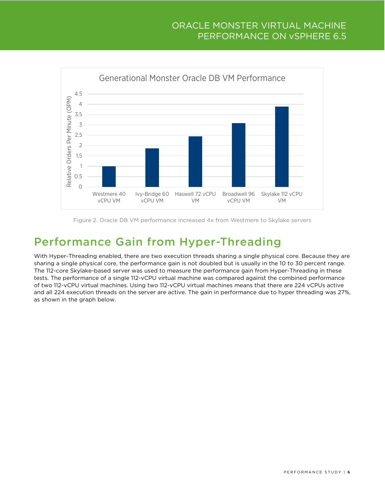#### ORACLE MONSTER VIRTUAL MACHINE PERFORMANCE ON vSPHERE 6.5



Figure 2. Oracle DB VM performance increased 4x from Westmere to Skylake servers

# <span id="page-5-0"></span>Performance Gain from Hyper-Threading

With Hyper-Threading enabled, there are two execution threads sharing a single physical core. Because they are sharing a single physical core, the performance gain is not doubled but is usually in the 10 to 30 percent range. The 112-core Skylake-based server was used to measure the performance gain from Hyper-Threading in these tests. The performance of a single 112-vCPU virtual machine was compared against the combined performance of two 112-vCPU virtual machines. Using two 112-vCPU virtual machines means that there are 224 vCPUs active and all 224 execution threads on the server are active. The gain in performance due to hyper threading was 27%, as shown in the graph below.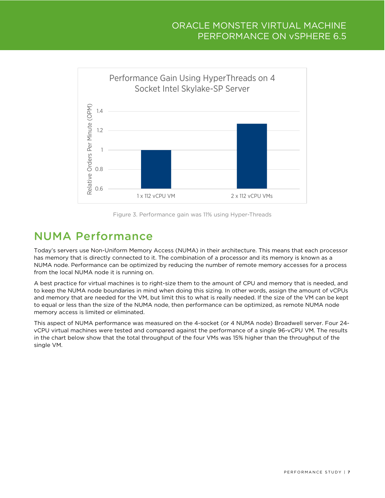#### ORACLE MONSTER VIRTUAL MACHINE PERFORMANCE ON vSPHERE 6.5





## <span id="page-6-0"></span>NUMA Performance

Today's servers use Non-Uniform Memory Access (NUMA) in their architecture. This means that each processor has memory that is directly connected to it. The combination of a processor and its memory is known as a NUMA node. Performance can be optimized by reducing the number of remote memory accesses for a process from the local NUMA node it is running on.

A best practice for virtual machines is to right-size them to the amount of CPU and memory that is needed, and to keep the NUMA node boundaries in mind when doing this sizing. In other words, assign the amount of vCPUs and memory that are needed for the VM, but limit this to what is really needed. If the size of the VM can be kept to equal or less than the size of the NUMA node, then performance can be optimized, as remote NUMA node memory access is limited or eliminated.

This aspect of NUMA performance was measured on the 4-socket (or 4 NUMA node) Broadwell server. Four 24 vCPU virtual machines were tested and compared against the performance of a single 96-vCPU VM. The results in the chart below show that the total throughput of the four VMs was 15% higher than the throughput of the single VM.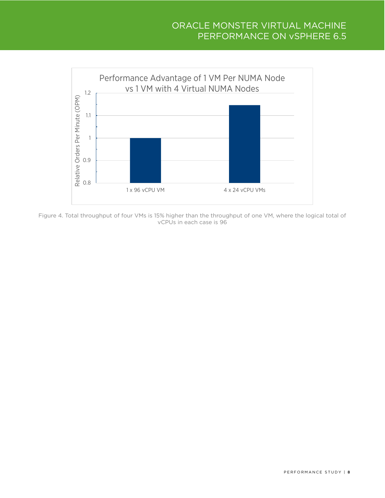#### ORACLE MONSTER VIRTUAL MACHINE PERFORMANCE ON vSPHERE 6.5



Figure 4. Total throughput of four VMs is 15% higher than the throughput of one VM, where the logical total of vCPUs in each case is 96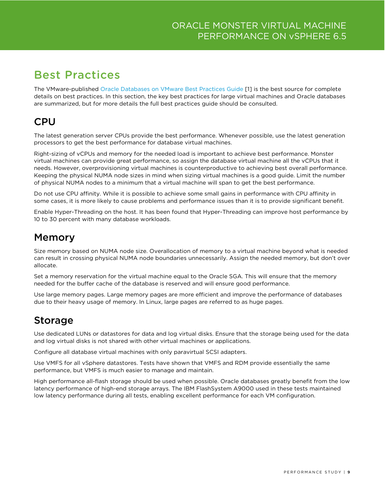# <span id="page-8-0"></span>Best Practices

The VMware-published [Oracle Databases on VMware Best Practices Guide](https://www.vmware.com/content/dam/digitalmarketing/vmware/en/pdf/solutions/vmware-oracle-databases-on-vmware-best-practices-guide.pdf) [\[1\]](#page-9-4) is the best source for complete details on best practices. In this section, the key best practices for large virtual machines and Oracle databases are summarized, but for more details the full best practices guide should be consulted.

## <span id="page-8-1"></span>CPU

The latest generation server CPUs provide the best performance. Whenever possible, use the latest generation processors to get the best performance for database virtual machines.

Right-sizing of vCPUs and memory for the needed load is important to achieve best performance. Monster virtual machines can provide great performance, so assign the database virtual machine all the vCPUs that it needs. However, overprovisioning virtual machines is counterproductive to achieving best overall performance. Keeping the physical NUMA node sizes in mind when sizing virtual machines is a good guide. Limit the number of physical NUMA nodes to a minimum that a virtual machine will span to get the best performance.

Do not use CPU affinity. While it is possible to achieve some small gains in performance with CPU affinity in some cases, it is more likely to cause problems and performance issues than it is to provide significant benefit.

Enable Hyper-Threading on the host. It has been found that Hyper-Threading can improve host performance by 10 to 30 percent with many database workloads.

### <span id="page-8-2"></span>Memory

Size memory based on NUMA node size. Overallocation of memory to a virtual machine beyond what is needed can result in crossing physical NUMA node boundaries unnecessarily. Assign the needed memory, but don't over allocate.

Set a memory reservation for the virtual machine equal to the Oracle SGA. This will ensure that the memory needed for the buffer cache of the database is reserved and will ensure good performance.

Use large memory pages. Large memory pages are more efficient and improve the performance of databases due to their heavy usage of memory. In Linux, large pages are referred to as huge pages.

## <span id="page-8-3"></span>Storage

Use dedicated LUNs or datastores for data and log virtual disks. Ensure that the storage being used for the data and log virtual disks is not shared with other virtual machines or applications.

Configure all database virtual machines with only paravirtual SCSI adapters.

Use VMFS for all vSphere datastores. Tests have shown that VMFS and RDM provide essentially the same performance, but VMFS is much easier to manage and maintain.

High performance all-flash storage should be used when possible. Oracle databases greatly benefit from the low latency performance of high-end storage arrays. The IBM FlashSystem A9000 used in these tests maintained low latency performance during all tests, enabling excellent performance for each VM configuration.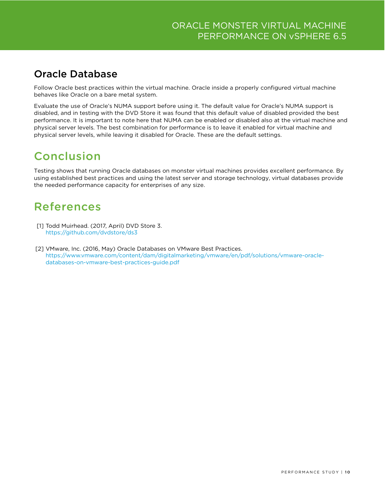## <span id="page-9-0"></span>Oracle Database

Follow Oracle best practices within the virtual machine. Oracle inside a properly configured virtual machine behaves like Oracle on a bare metal system.

Evaluate the use of Oracle's NUMA support before using it. The default value for Oracle's NUMA support is disabled, and in testing with the DVD Store it was found that this default value of disabled provided the best performance. It is important to note here that NUMA can be enabled or disabled also at the virtual machine and physical server levels. The best combination for performance is to leave it enabled for virtual machine and physical server levels, while leaving it disabled for Oracle. These are the default settings.

# <span id="page-9-1"></span>Conclusion

Testing shows that running Oracle databases on monster virtual machines provides excellent performance. By using established best practices and using the latest server and storage technology, virtual databases provide the needed performance capacity for enterprises of any size.

# <span id="page-9-2"></span>References

- <span id="page-9-3"></span>[1] Todd Muirhead. (2017, April) DVD Store 3. <https://github.com/dvdstore/ds3>
- <span id="page-9-4"></span>[2] VMware, Inc. (2016, May) Oracle Databases on VMware Best Practices. [https://www.vmware.com/content/dam/digitalmarketing/vmware/en/pdf/solutions/vmware-oracle](https://www.vmware.com/content/dam/digitalmarketing/vmware/en/pdf/solutions/vmware-oracle-databases-on-vmware-best-practices-guide.pdf)[databases-on-vmware-best-practices-guide.pdf](https://www.vmware.com/content/dam/digitalmarketing/vmware/en/pdf/solutions/vmware-oracle-databases-on-vmware-best-practices-guide.pdf)